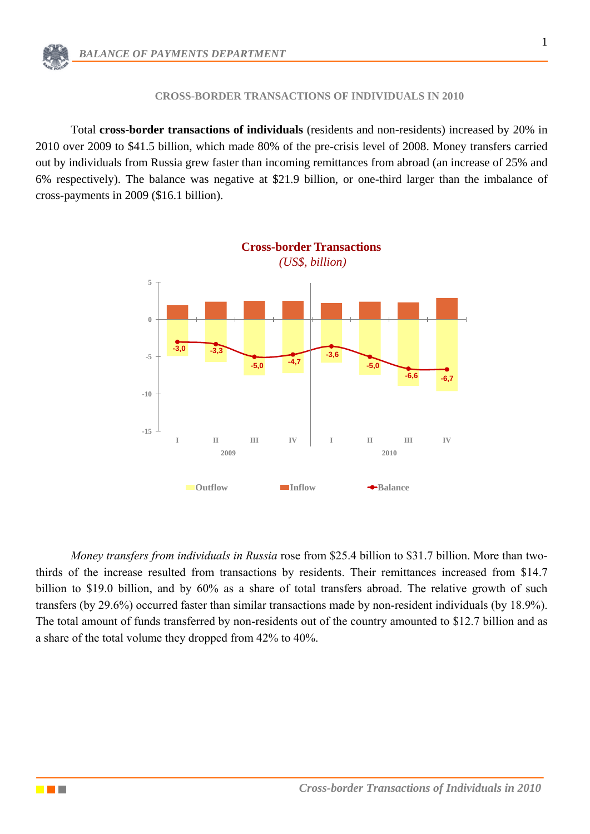## **CROSS-BORDER TRANSACTIONS OF INDIVIDUALS IN 2010**

Total **cross-border transactions of individuals** (residents and non-residents) increased by 20% in 2010 over 2009 to \$41.5 billion, which made 80% of the pre-crisis level of 2008. Money transfers carried out by individuals from Russia grew faster than incoming remittances from abroad (an increase of 25% and 6% respectively). The balance was negative at \$21.9 billion, or one-third larger than the imbalance of cross-payments in 2009 (\$16.1 billion).



*Money transfers from individuals in Russia* rose from \$25.4 billion to \$31.7 billion. More than twothirds of the increase resulted from transactions by residents. Their remittances increased from \$14.7 billion to \$19.0 billion, and by 60% as a share of total transfers abroad. The relative growth of such transfers (by 29.6%) occurred faster than similar transactions made by non-resident individuals (by 18.9%). The total amount of funds transferred by non-residents out of the country amounted to \$12.7 billion and as a share of the total volume they dropped from 42% to 40%.

<u>e pr</u>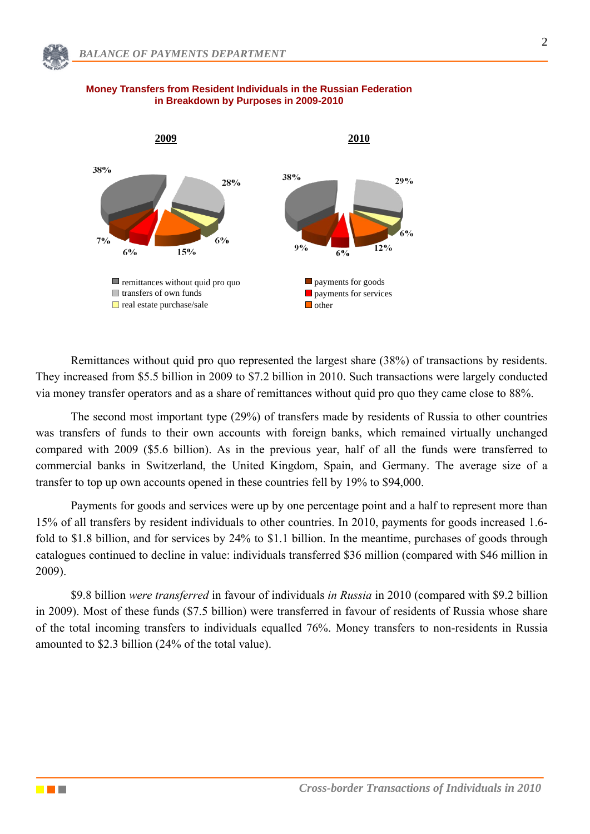

## **Money Transfers from Resident Individuals in the Russian Federation in Breakdown by Purposes in 2009-2010**

Remittances without quid pro quo represented the largest share (38%) of transactions by residents. They increased from \$5.5 billion in 2009 to \$7.2 billion in 2010. Such transactions were largely conducted via money transfer operators and as a share of remittances without quid pro quo they came close to 88%.

The second most important type (29%) of transfers made by residents of Russia to other countries was transfers of funds to their own accounts with foreign banks, which remained virtually unchanged compared with 2009 (\$5.6 billion). As in the previous year, half of all the funds were transferred to commercial banks in Switzerland, the United Kingdom, Spain, and Germany. The average size of a transfer to top up own accounts opened in these countries fell by 19% to \$94,000.

Payments for goods and services were up by one percentage point and a half to represent more than 15% of all transfers by resident individuals to other countries. In 2010, payments for goods increased 1.6 fold to \$1.8 billion, and for services by 24% to \$1.1 billion. In the meantime, purchases of goods through catalogues continued to decline in value: individuals transferred \$36 million (compared with \$46 million in 2009).

\$9.8 billion *were transferred* in favour of individuals *in Russia* in 2010 (compared with \$9.2 billion in 2009). Most of these funds (\$7.5 billion) were transferred in favour of residents of Russia whose share of the total incoming transfers to individuals equalled 76%. Money transfers to non-residents in Russia amounted to \$2.3 billion (24% of the total value).

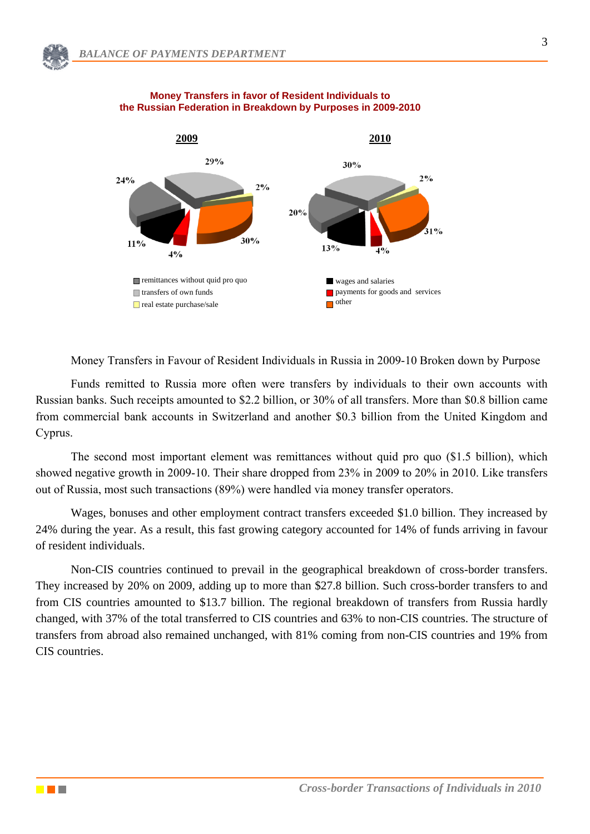

#### **Money Transfers in favor of Resident Individuals to the Russian Federation in Breakdown by Purposes in 2009-2010**

Money Transfers in Favour of Resident Individuals in Russia in 2009-10 Broken down by Purpose

Funds remitted to Russia more often were transfers by individuals to their own accounts with Russian banks. Such receipts amounted to \$2.2 billion, or 30% of all transfers. More than \$0.8 billion came from commercial bank accounts in Switzerland and another \$0.3 billion from the United Kingdom and Cyprus.

The second most important element was remittances without quid pro quo (\$1.5 billion), which showed negative growth in 2009-10. Their share dropped from 23% in 2009 to 20% in 2010. Like transfers out of Russia, most such transactions (89%) were handled via money transfer operators.

Wages, bonuses and other employment contract transfers exceeded \$1.0 billion. They increased by 24% during the year. As a result, this fast growing category accounted for 14% of funds arriving in favour of resident individuals.

Non-CIS countries continued to prevail in the geographical breakdown of cross-border transfers. They increased by 20% on 2009, adding up to more than \$27.8 billion. Such cross-border transfers to and from CIS countries amounted to \$13.7 billion. The regional breakdown of transfers from Russia hardly changed, with 37% of the total transferred to CIS countries and 63% to non-CIS countries. The structure of transfers from abroad also remained unchanged, with 81% coming from non-CIS countries and 19% from CIS countries.

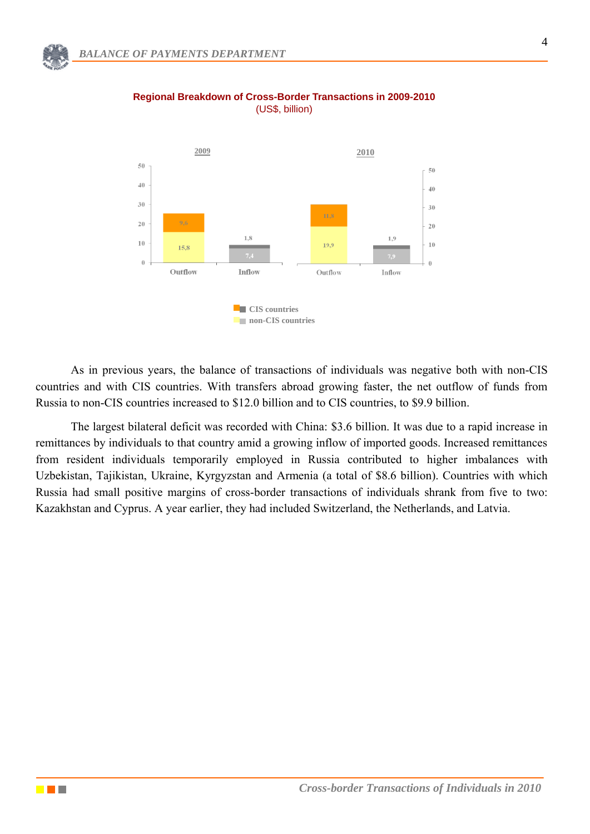

**Regional Breakdown of Cross-Border Transactions in 2009-2010** (US\$, billion)

As in previous years, the balance of transactions of individuals was negative both with non-CIS countries and with CIS countries. With transfers abroad growing faster, the net outflow of funds from Russia to non-CIS countries increased to \$12.0 billion and to CIS countries, to \$9.9 billion.

The largest bilateral deficit was recorded with China: \$3.6 billion. It was due to a rapid increase in remittances by individuals to that country amid a growing inflow of imported goods. Increased remittances from resident individuals temporarily employed in Russia contributed to higher imbalances with Uzbekistan, Tajikistan, Ukraine, Kyrgyzstan and Armenia (a total of \$8.6 billion). Countries with which Russia had small positive margins of cross-border transactions of individuals shrank from five to two: Kazakhstan and Cyprus. A year earlier, they had included Switzerland, the Netherlands, and Latvia.

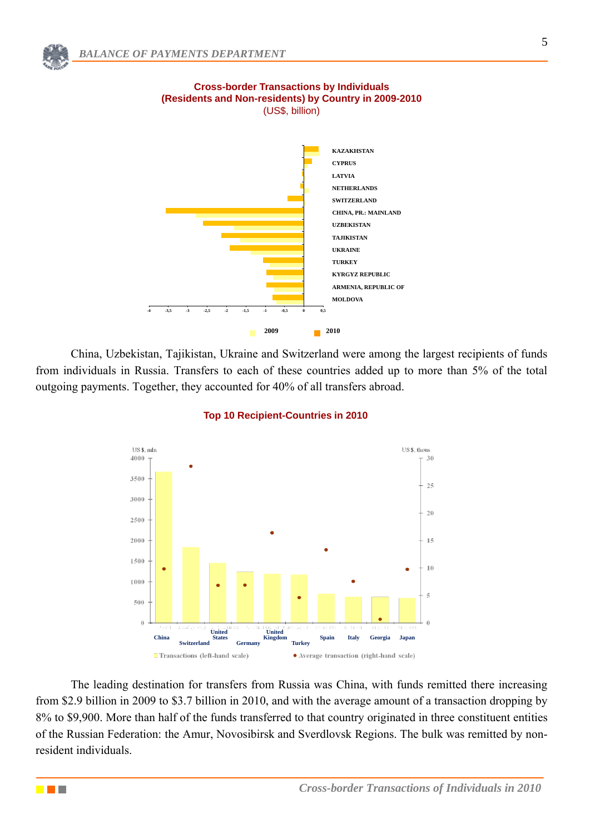

# **Cross-border Transactions by Individuals (Residents and Non-residents) by Country in 2009-2010**  (US\$, billion)



China, Uzbekistan, Tajikistan, Ukraine and Switzerland were among the largest recipients of funds from individuals in Russia. Transfers to each of these countries added up to more than 5% of the total outgoing payments. Together, they accounted for 40% of all transfers abroad.



## **Top 10 Recipient-Countries in 2010**

The leading destination for transfers from Russia was China, with funds remitted there increasing from \$2.9 billion in 2009 to \$3.7 billion in 2010, and with the average amount of a transaction dropping by 8% to \$9,900. More than half of the funds transferred to that country originated in three constituent entities of the Russian Federation: the Amur, Novosibirsk and Sverdlovsk Regions. The bulk was remitted by nonresident individuals.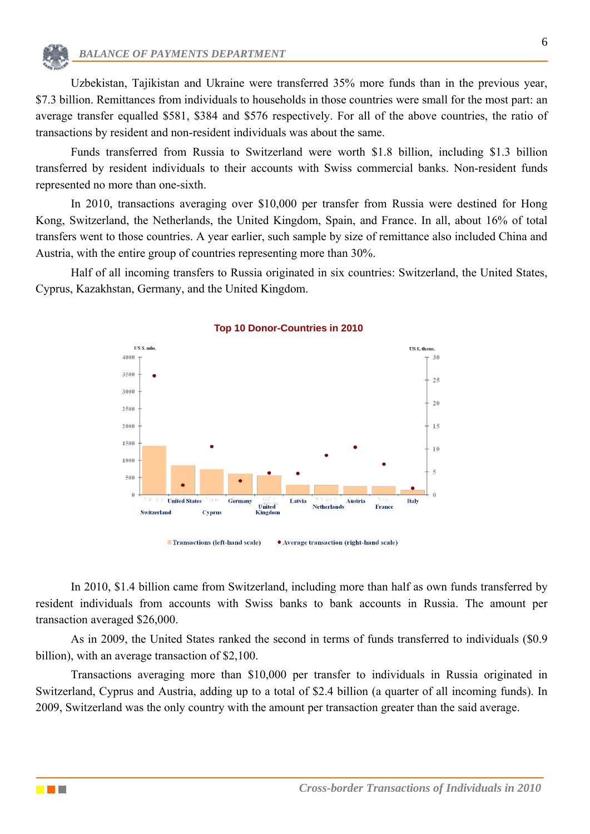Uzbekistan, Tajikistan and Ukraine were transferred 35% more funds than in the previous vear, \$7.3 billion. Remittances from individuals to households in those countries were small for the most part: an average transfer equalled \$581, \$384 and \$576 respectively. For all of the above countries, the ratio of transactions by resident and non-resident individuals was about the same.

Funds transferred from Russia to Switzerland were worth \$1.8 billion, including \$1.3 billion transferred by resident individuals to their accounts with Swiss commercial banks. Non-resident funds represented no more than one-sixth.

In 2010, transactions averaging over \$10,000 per transfer from Russia were destined for Hong Kong, Switzerland, the Netherlands, the United Kingdom, Spain, and France. In all, about 16% of total transfers went to those countries. A year earlier, such sample by size of remittance also included China and Austria, with the entire group of countries representing more than 30%.

Half of all incoming transfers to Russia originated in six countries: Switzerland, the United States, Cyprus, Kazakhstan, Germany, and the United Kingdom.



#### **Top 10 Donor-Countries in 2010**

In 2010, \$1.4 billion came from Switzerland, including more than half as own funds transferred by resident individuals from accounts with Swiss banks to bank accounts in Russia. The amount per transaction averaged \$26,000.

As in 2009, the United States ranked the second in terms of funds transferred to individuals (\$0.9 billion), with an average transaction of \$2,100.

Transactions averaging more than \$10,000 per transfer to individuals in Russia originated in Switzerland, Cyprus and Austria, adding up to a total of \$2.4 billion (a quarter of all incoming funds). In 2009, Switzerland was the only country with the amount per transaction greater than the said average.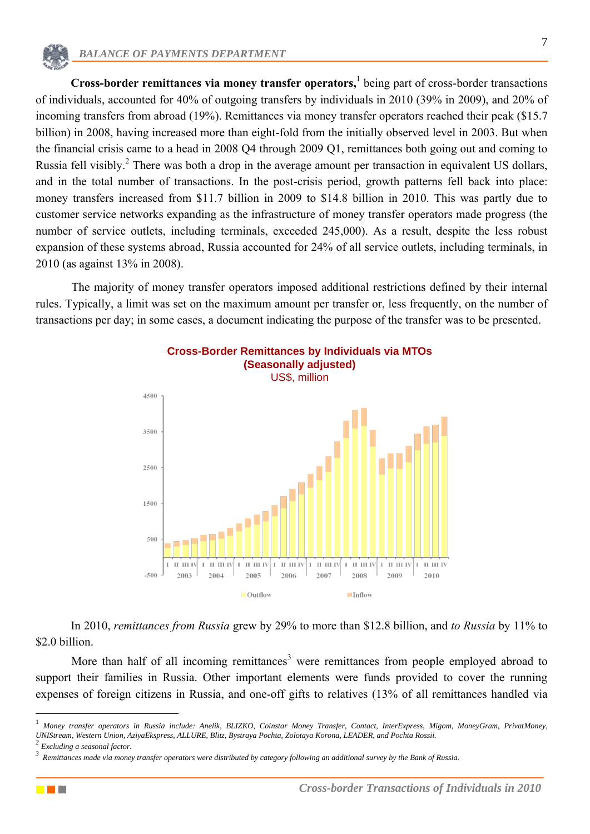**Cross-border remittances via money transfer operators,** 1 being part of cross-border transactions of individuals, accounted for 40% of outgoing transfers by individuals in 2010 (39% in 2009), and 20% of incoming transfers from abroad (19%). Remittances via money transfer operators reached their peak (\$15.7 billion) in 2008, having increased more than eight-fold from the initially observed level in 2003. But when the financial crisis came to a head in 2008 Q4 through 2009 Q1, remittances both going out and coming to Russia fell visibly.<sup>2</sup> There was both a drop in the average amount per transaction in equivalent US dollars, and in the total number of transactions. In the post-crisis period, growth patterns fell back into place: money transfers increased from \$11.7 billion in 2009 to \$14.8 billion in 2010. This was partly due to customer service networks expanding as the infrastructure of money transfer operators made progress (the number of service outlets, including terminals, exceeded 245,000). As a result, despite the less robust expansion of these systems abroad, Russia accounted for 24% of all service outlets, including terminals, in 2010 (as against 13% in 2008).

The majority of money transfer operators imposed additional restrictions defined by their internal rules. Typically, a limit was set on the maximum amount per transfer or, less frequently, on the number of transactions per day; in some cases, a document indicating the purpose of the transfer was to be presented.



In 2010, *remittances from Russia* grew by 29% to more than \$12.8 billion, and *to Russia* by 11% to \$2.0 billion.

More than half of all incoming remittances<sup>3</sup> were remittances from people employed abroad to support their families in Russia. Other important elements were funds provided to cover the running expenses of foreign citizens in Russia, and one-off gifts to relatives (13% of all remittances handled via



<u>.</u>

<sup>1</sup> *Money transfer operators in Russia include: Anelik, BLIZKO, Coinstar Money Transfer, Contact, InterExpress, Migom, MoneyGram, PrivatMoney, UNIStream, Western Union, AziyaEkspress, ALLURE, Blitz, Bystraya Pochta, Zolotaya Korona, LEADER, and Pochta Rossii. 2*

*Excluding a seasonal factor.*

*<sup>3</sup> Remittances made via money transfer operators were distributed by category following an additional survey by the Bank of Russia.*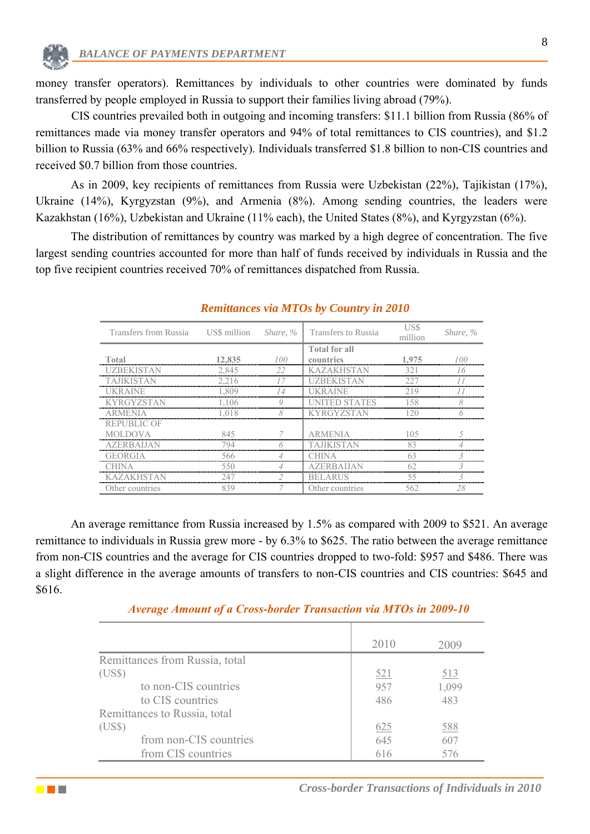<u>e part</u>

money transfer operators). Remittances by individuals to other countries were dominated by funds transferred by people employed in Russia to support their families living abroad (79%).

CIS countries prevailed both in outgoing and incoming transfers: \$11.1 billion from Russia (86% of remittances made via money transfer operators and 94% of total remittances to CIS countries), and \$1.2 billion to Russia (63% and 66% respectively). Individuals transferred \$1.8 billion to non-CIS countries and received \$0.7 billion from those countries.

As in 2009, key recipients of remittances from Russia were Uzbekistan (22%), Tajikistan (17%), Ukraine (14%), Kyrgyzstan (9%), and Armenia (8%). Among sending countries, the leaders were Kazakhstan (16%), Uzbekistan and Ukraine (11% each), the United States (8%), and Kyrgyzstan (6%).

The distribution of remittances by country was marked by a high degree of concentration. The five largest sending countries accounted for more than half of funds received by individuals in Russia and the top five recipient countries received 70% of remittances dispatched from Russia.

| Transfers from Russia US\$ million Share, % Transfers to Russia |        |    |                      | illion | Share, % |
|-----------------------------------------------------------------|--------|----|----------------------|--------|----------|
|                                                                 |        |    | <b>Total for all</b> |        |          |
| Total                                                           | 12,835 |    | countries            | 1,975  |          |
| UZBEKI                                                          | 2.845  | 22 | KА<br>$Z \triangle$  | 321    |          |
|                                                                 |        |    |                      |        |          |
|                                                                 | 809    |    |                      |        |          |
|                                                                 | 106    |    |                      |        |          |
| A R MENIA                                                       |        |    |                      |        |          |
| REPUBLIC OF                                                     |        |    |                      |        |          |
| <b>MOLDOVA</b>                                                  |        |    |                      |        |          |
| <i>A</i> ZERRAIJA                                               |        |    |                      |        |          |
| DRGHA                                                           | 566    |    |                      |        |          |
|                                                                 |        |    |                      |        |          |
| <b>KAZAKHSTAN</b>                                               |        |    | <b>BELARUS</b>       | 55     |          |
| Other countries                                                 |        |    | Other countries      | 562    |          |

## *Remittances via MTOs by Country in 2010*

An average remittance from Russia increased by 1.5% as compared with 2009 to \$521. An average remittance to individuals in Russia grew more - by 6.3% to \$625. The ratio between the average remittance from non-CIS countries and the average for CIS countries dropped to two-fold: \$957 and \$486. There was a slight difference in the average amounts of transfers to non-CIS countries and CIS countries: \$645 and \$616.

|                                | 2010       | 2009       |
|--------------------------------|------------|------------|
| Remittances from Russia, total |            |            |
| (US\$)                         | <u>521</u> | <u>513</u> |
| to non-CIS countries           | 957        | 1,099      |
| to CIS countries               | 486        | 483        |
| Remittances to Russia, total   |            |            |
| (US\$)                         | 625        | <u>588</u> |
| from non-CIS countries         | 645        | 607        |
| from CIS countries             | 616        | 576        |

# *Average Amount of a Cross-border Transaction via MTOs in 2009-10*